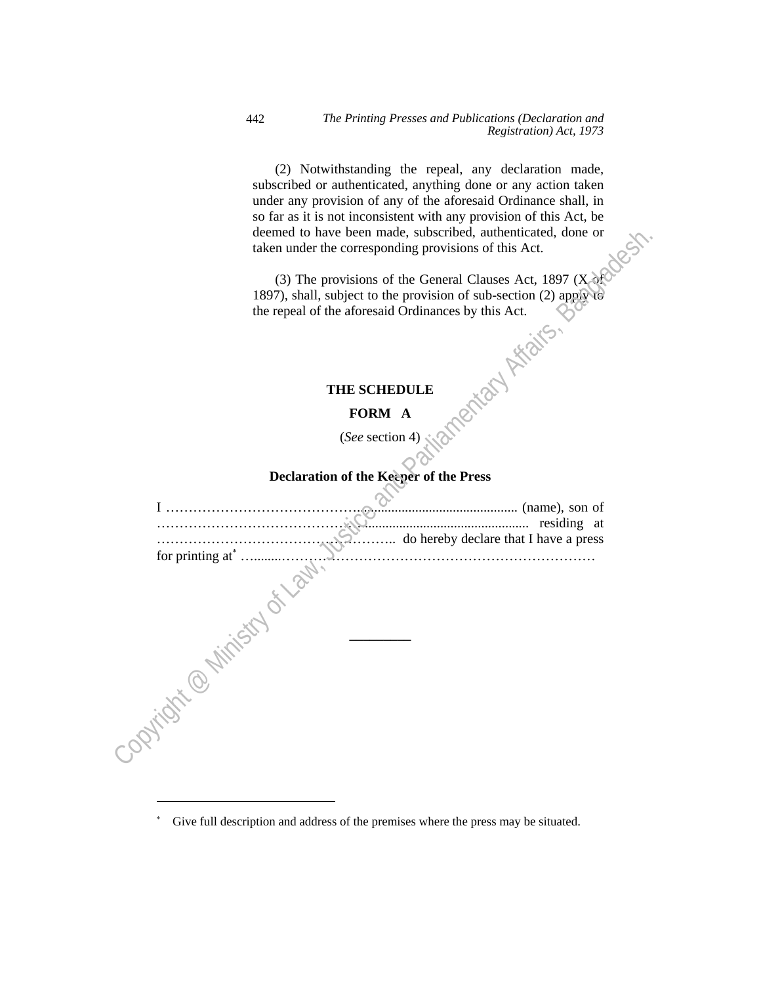(2) Notwithstanding the repeal, any declaration made, subscribed or authenticated, anything done or any action taken under any provision of any of the aforesaid Ordinance shall, in so far as it is not inconsistent with any provision of this Act, be deemed to have been made, subscribed, authenticated, done or taken under the corresponding provisions of this Act.

# **THE SCHEDULE**

### **FORM A**

# **Declaration of the Keeper of the Press**

| deemed to have been made, subscribed, authenticated, done or<br>taken under the corresponding provisions of this Act. |
|-----------------------------------------------------------------------------------------------------------------------|
|                                                                                                                       |
| (3) The provisions of the General Clauses Act, 1897 (X of                                                             |
| 1897), shall, subject to the provision of sub-section (2) apply to                                                    |
| the repeal of the aforesaid Ordinances by this Act.                                                                   |
| entran Afraits.                                                                                                       |
| THE SCHEDULE                                                                                                          |
| FORM A                                                                                                                |
| (See section 4)                                                                                                       |
|                                                                                                                       |
| Declaration of the Keeper of the Press                                                                                |
|                                                                                                                       |
| (name), son of<br>sensitive manner and the residing at                                                                |
| do hereby declare that I have a press                                                                                 |
|                                                                                                                       |
| Opinion @ Ministry of Lat.                                                                                            |
|                                                                                                                       |

∗ Give full description and address of the premises where the press may be situated.

 $\overline{a}$